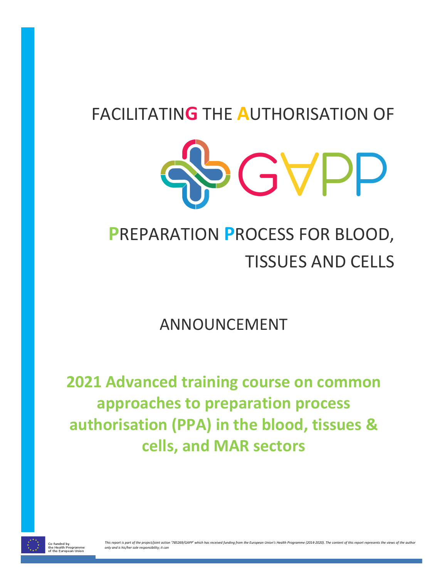# FACILITATIN**G** THE **A**UTHORISATION OF



# **P**REPARATION **P**ROCESS FOR BLOOD, TISSUES AND CELLS

ANNOUNCEMENT

**2021 Advanced training course on common approaches to preparation process authorisation (PPA) in the blood, tissues & cells, and MAR sectors**

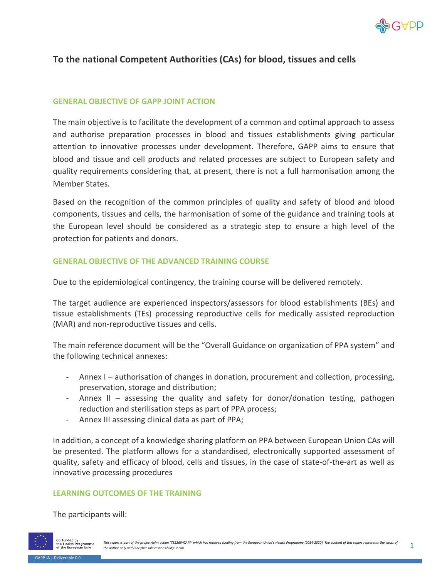

# **To the national Competent Authorities (CAs) for blood, tissues and cells**

# **GENERAL OBJECTIVE OF GAPP JOINT ACTION**

The main objective is to facilitate the development of a common and optimal approach to assess and authorise preparation processes in blood and tissues establishments giving particular attention to innovative processes under development. Therefore, GAPP aims to ensure that blood and tissue and cell products and related processes are subject to European safety and quality requirements considering that, at present, there is not a full harmonisation among the Member States.

Based on the recognition of the common principles of quality and safety of blood and blood components, tissues and cells, the harmonisation of some of the guidance and training tools at the European level should be considered as a strategic step to ensure a high level of the protection for patients and donors.

# **GENERAL OBJECTIVE OF THE ADVANCED TRAINING COURSE**

Due to the epidemiological contingency, the training course will be delivered remotely.

The target audience are experienced inspectors/assessors for blood establishments (BEs) and tissue establishments (TEs) processing reproductive cells for medically assisted reproduction (MAR) and non-reproductive tissues and cells.

The main reference document will be the "Overall Guidance on organization of PPA system" and the following technical annexes:

- Annex I authorisation of changes in donation, procurement and collection, processing, preservation, storage and distribution;
- Annex II assessing the quality and safety for donor/donation testing, pathogen reduction and sterilisation steps as part of PPA process;
- Annex III assessing clinical data as part of PPA;

In addition, a concept of a knowledge sharing platform on PPA between European Union CAs will be presented. The platform allows for a standardised, electronically supported assessment of quality, safety and efficacy of blood, cells and tissues, in the case of state-of-the-art as well as innovative processing procedures

## **LEARNING OUTCOMES OF THE TRAINING**

The participants will:

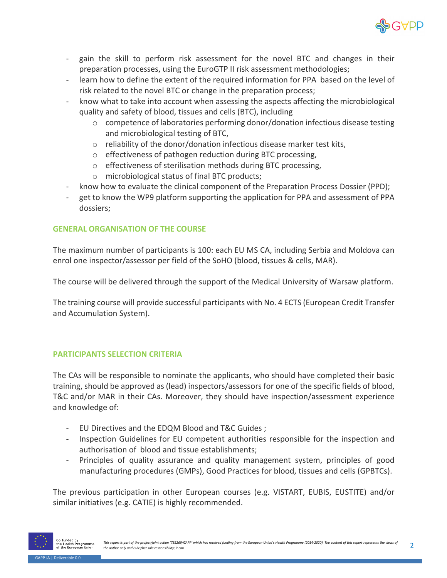

- gain the skill to perform risk assessment for the novel BTC and changes in their preparation processes, using the EuroGTP II risk assessment methodologies;
- learn how to define the extent of the required information for PPA based on the level of risk related to the novel BTC or change in the preparation process;
- know what to take into account when assessing the aspects affecting the microbiological quality and safety of blood, tissues and cells (BTC), including
	- o competence of laboratories performing donor/donation infectious disease testing and microbiological testing of BTC,
	- o reliability of the donor/donation infectious disease marker test kits,
	- o effectiveness of pathogen reduction during BTC processing,
	- o effectiveness of sterilisation methods during BTC processing,
	- o microbiological status of final BTC products;
- know how to evaluate the clinical component of the Preparation Process Dossier (PPD);
- get to know the WP9 platform supporting the application for PPA and assessment of PPA dossiers;

# **GENERAL ORGANISATION OF THE COURSE**

The maximum number of participants is 100: each EU MS CA, including Serbia and Moldova can enrol one inspector/assessor per field of the SoHO (blood, tissues & cells, MAR).

The course will be delivered through the support of the Medical University of Warsaw platform.

The training course will provide successful participants with No. 4 ECTS (European Credit Transfer and Accumulation System).

# **PARTICIPANTS SELECTION CRITERIA**

The CAs will be responsible to nominate the applicants, who should have completed their basic training, should be approved as (lead) inspectors/assessors for one of the specific fields of blood, T&C and/or MAR in their CAs. Moreover, they should have inspection/assessment experience and knowledge of:

- EU Directives and the EDQM Blood and T&C Guides ;
- Inspection Guidelines for EU competent authorities responsible for the inspection and authorisation of blood and tissue establishments;
- Principles of quality assurance and quality management system, principles of good manufacturing procedures (GMPs), Good Practices for blood, tissues and cells (GPBTCs).

The previous participation in other European courses (e.g. VISTART, EUBIS, EUSTITE) and/or similar initiatives (e.g. CATIE) is highly recommended.

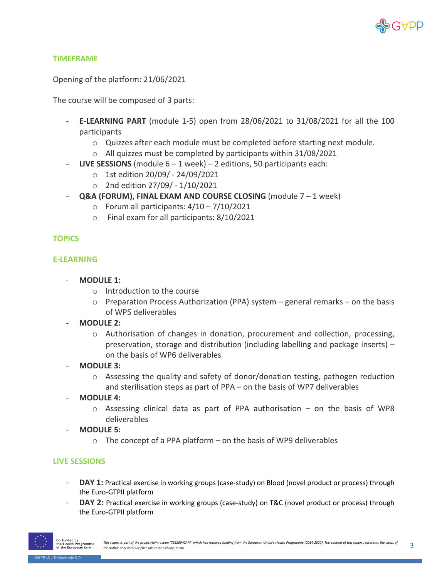

## **TIMEFRAME**

Opening of the platform: 21/06/2021

The course will be composed of 3 parts:

- **E-LEARNING PART** (module 1-5) open from 28/06/2021 to 31/08/2021 for all the 100 participants
	- o Quizzes after each module must be completed before starting next module.
	- o All quizzes must be completed by participants within 31/08/2021
- **LIVE SESSIONS** (module  $6 1$  week) 2 editions, 50 participants each:
	- o 1st edition 20/09/ 24/09/2021
	- o 2nd edition 27/09/ 1/10/2021
- **Q&A (FORUM), FINAL EXAM AND COURSE CLOSING** (module 7 1 week)
	- $\circ$  Forum all participants:  $4/10 7/10/2021$
	- o Final exam for all participants: 8/10/2021

# **TOPICS**

## **E-LEARNING**

- **MODULE 1:**
	- o Introduction to the course
	- $\circ$  Preparation Process Authorization (PPA) system general remarks on the basis of WP5 deliverables
- **MODULE 2:**
	- o Authorisation of changes in donation, procurement and collection, processing, preservation, storage and distribution (including labelling and package inserts) – on the basis of WP6 deliverables
- **MODULE 3:**
	- o Assessing the quality and safety of donor/donation testing, pathogen reduction and sterilisation steps as part of PPA – on the basis of WP7 deliverables
- **MODULE 4:** 
	- $\circ$  Assessing clinical data as part of PPA authorisation on the basis of WP8 deliverables
- **MODULE 5:**
	- $\circ$  The concept of a PPA platform on the basis of WP9 deliverables

## **LIVE SESSIONS**

- **DAY 1:** Practical exercise in working groups (case-study) on Blood (novel product or process) through the Euro-GTPII platform
- **DAY 2:** Practical exercise in working groups (case-study) on T&C (novel product or process) through the Euro-GTPII platform